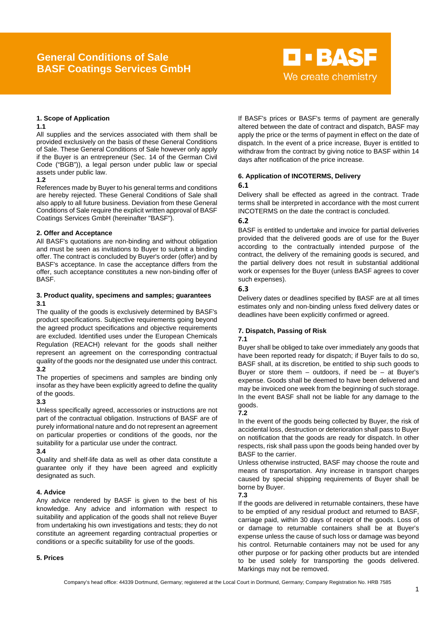# **General Conditions of Sale BASF Coatings Services GmbH**

## **1. Scope of Application**

#### **1.1**

All supplies and the services associated with them shall be provided exclusively on the basis of these General Conditions of Sale. These General Conditions of Sale however only apply if the Buyer is an entrepreneur (Sec. 14 of the German Civil Code ("BGB")), a legal person under public law or special assets under public law.

## **1.2**

References made by Buyer to his general terms and conditions are hereby rejected. These General Conditions of Sale shall also apply to all future business. Deviation from these General Conditions of Sale require the explicit written approval of BASF Coatings Services GmbH (hereinafter "BASF").

## **2. Offer and Acceptance**

All BASF's quotations are non-binding and without obligation and must be seen as invitations to Buyer to submit a binding offer. The contract is concluded by Buyer's order (offer) and by BASF's acceptance. In case the acceptance differs from the offer, such acceptance constitutes a new non-binding offer of **BASE** 

## **3. Product quality, specimens and samples; guarantees 3.1**

The quality of the goods is exclusively determined by BASF's product specifications. Subjective requirements going beyond the agreed product specifications and objective requirements are excluded. Identified uses under the European Chemicals Regulation (REACH) relevant for the goods shall neither represent an agreement on the corresponding contractual quality of the goods nor the designated use under this contract. **3.2**

The properties of specimens and samples are binding only insofar as they have been explicitly agreed to define the quality of the goods.

## **3.3**

Unless specifically agreed, accessories or instructions are not part of the contractual obligation. Instructions of BASF are of purely informational nature and do not represent an agreement on particular properties or conditions of the goods, nor the suitability for a particular use under the contract.

## **3.4**

Quality and shelf-life data as well as other data constitute a guarantee only if they have been agreed and explicitly designated as such.

## **4. Advice**

Any advice rendered by BASF is given to the best of his knowledge. Any advice and information with respect to suitability and application of the goods shall not relieve Buyer from undertaking his own investigations and tests; they do not constitute an agreement regarding contractual properties or conditions or a specific suitability for use of the goods.

## **5. Prices**

If BASF's prices or BASF's terms of payment are generally altered between the date of contract and dispatch, BASF may apply the price or the terms of payment in effect on the date of dispatch. In the event of a price increase, Buyer is entitled to withdraw from the contract by giving notice to BASF within 14 days after notification of the price increase.

**D-BASF** 

We create chemistry

## **6. Application of INCOTERMS, Delivery**

## **6.1**

Delivery shall be effected as agreed in the contract. Trade terms shall be interpreted in accordance with the most current INCOTERMS on the date the contract is concluded.

## **6.2**

BASF is entitled to undertake and invoice for partial deliveries provided that the delivered goods are of use for the Buyer according to the contractually intended purpose of the contract, the delivery of the remaining goods is secured, and the partial delivery does not result in substantial additional work or expenses for the Buyer (unless BASF agrees to cover such expenses).

## **6.3**

Delivery dates or deadlines specified by BASF are at all times estimates only and non-binding unless fixed delivery dates or deadlines have been explicitly confirmed or agreed.

## **7. Dispatch, Passing of Risk**

## **7.1**

Buyer shall be obliged to take over immediately any goods that have been reported ready for dispatch; if Buyer fails to do so, BASF shall, at its discretion, be entitled to ship such goods to Buyer or store them  $-$  outdoors, if need be  $-$  at Buyer's expense. Goods shall be deemed to have been delivered and may be invoiced one week from the beginning of such storage. In the event BASF shall not be liable for any damage to the goods.

## **7.2**

In the event of the goods being collected by Buyer, the risk of accidental loss, destruction or deterioration shall pass to Buyer on notification that the goods are ready for dispatch. In other respects, risk shall pass upon the goods being handed over by BASF to the carrier.

Unless otherwise instructed, BASF may choose the route and means of transportation. Any increase in transport charges caused by special shipping requirements of Buyer shall be borne by Buyer.

## **7.3**

If the goods are delivered in returnable containers, these have to be emptied of any residual product and returned to BASF, carriage paid, within 30 days of receipt of the goods. Loss of or damage to returnable containers shall be at Buyer's expense unless the cause of such loss or damage was beyond his control. Returnable containers may not be used for any other purpose or for packing other products but are intended to be used solely for transporting the goods delivered. Markings may not be removed.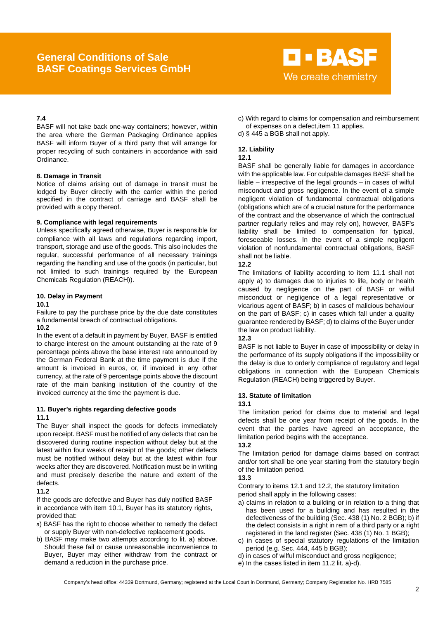## **General Conditions of Sale BASF Coatings Services GmbH**



## **7.4**

BASF will not take back one-way containers; however, within the area where the German Packaging Ordinance applies BASF will inform Buyer of a third party that will arrange for proper recycling of such containers in accordance with said Ordinance.

## **8. Damage in Transit**

Notice of claims arising out of damage in transit must be lodged by Buyer directly with the carrier within the period specified in the contract of carriage and BASF shall be provided with a copy thereof.

## **9. Compliance with legal requirements**

Unless specifically agreed otherwise, Buyer is responsible for compliance with all laws and regulations regarding import, transport, storage and use of the goods. This also includes the regular, successful performance of all necessary trainings regarding the handling and use of the goods (in particular, but not limited to such trainings required by the European Chemicals Regulation (REACH)).

## **10. Delay in Payment**

## **10.1**

Failure to pay the purchase price by the due date constitutes a fundamental breach of contractual obligations.

## **10.2**

In the event of a default in payment by Buyer, BASF is entitled to charge interest on the amount outstanding at the rate of 9 percentage points above the base interest rate announced by the German Federal Bank at the time payment is due if the amount is invoiced in euros, or, if invoiced in any other currency, at the rate of 9 percentage points above the discount rate of the main banking institution of the country of the invoiced currency at the time the payment is due.

## **11. Buyer's rights regarding defective goods 11.1**

The Buyer shall inspect the goods for defects immediately upon receipt. BASF must be notified of any defects that can be discovered during routine inspection without delay but at the latest within four weeks of receipt of the goods; other defects must be notified without delay but at the latest within four weeks after they are discovered. Notification must be in writing and must precisely describe the nature and extent of the defects.

## **11.2**

If the goods are defective and Buyer has duly notified BASF in accordance with item 10.1, Buyer has its statutory rights, provided that:

- a) BASF has the right to choose whether to remedy the defect or supply Buyer with non-defective replacement goods.
- b) BASF may make two attempts according to lit. a) above. Should these fail or cause unreasonable inconvenience to Buyer, Buyer may either withdraw from the contract or demand a reduction in the purchase price.
- c) With regard to claims for compensation and reimbursement of expenses on a defect,item 11 applies.
- d) § 445 a BGB shall not apply.

## **12. Liability**

## **12.1**

BASF shall be generally liable for damages in accordance with the applicable law. For culpable damages BASF shall be liable – irrespective of the legal grounds – in cases of wilful misconduct and gross negligence. In the event of a simple negligent violation of fundamental contractual obligations (obligations which are of a crucial nature for the performance of the contract and the observance of which the contractual partner regularly relies and may rely on), however, BASF's liability shall be limited to compensation for typical, foreseeable losses. In the event of a simple negligent violation of nonfundamental contractual obligations, BASF shall not be liable.

## **12.2**

The limitations of liability according to item 11.1 shall not apply a) to damages due to injuries to life, body or health caused by negligence on the part of BASF or wilful misconduct or negligence of a legal representative or vicarious agent of BASF; b) in cases of malicious behaviour on the part of BASF; c) in cases which fall under a quality guarantee rendered by BASF; d) to claims of the Buyer under the law on product liability.

## **12.3**

BASF is not liable to Buyer in case of impossibility or delay in the performance of its supply obligations if the impossibility or the delay is due to orderly compliance of regulatory and legal obligations in connection with the European Chemicals Regulation (REACH) being triggered by Buyer.

## **13. Statute of limitation**

## **13.1**

The limitation period for claims due to material and legal defects shall be one year from receipt of the goods. In the event that the parties have agreed an acceptance, the limitation period begins with the acceptance.

## **13.2**

The limitation period for damage claims based on contract and/or tort shall be one year starting from the statutory begin of the limitation period.

## **13.3**

Contrary to items 12.1 and 12.2, the statutory limitation period shall apply in the following cases:

- a) claims in relation to a building or in relation to a thing that has been used for a building and has resulted in the defectiveness of the building (Sec. 438 (1) No. 2 BGB); b) if the defect consists in a right in rem of a third party or a right registered in the land register (Sec. 438 (1) No. 1 BGB);
- c) in cases of special statutory regulations of the limitation period (e.g. Sec. 444, 445 b BGB);
- d) in cases of wilful misconduct and gross negligence;
- e) In the cases listed in item 11.2 lit. a)-d).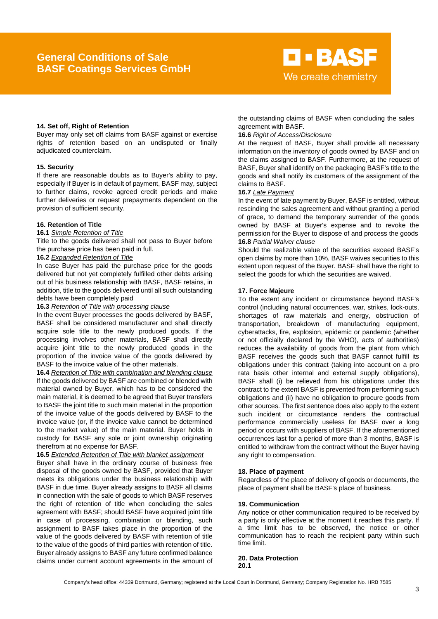

## **14. Set off, Right of Retention**

Buyer may only set off claims from BASF against or exercise rights of retention based on an undisputed or finally adjudicated counterclaim.

#### **15. Security**

If there are reasonable doubts as to Buyer's ability to pay, especially if Buyer is in default of payment, BASF may, subject to further claims, revoke agreed credit periods and make further deliveries or request prepayments dependent on the provision of sufficient security.

#### **16. Retention of Title**

#### **16.1** *Simple Retention of Title*

Title to the goods delivered shall not pass to Buyer before the purchase price has been paid in full.

## **16.2** *Expanded Retention of Title*

In case Buyer has paid the purchase price for the goods delivered but not yet completely fulfilled other debts arising out of his business relationship with BASF, BASF retains, in addition, title to the goods delivered until all such outstanding debts have been completely paid

#### **16.3** *Retention of Title with processing clause*

In the event Buyer processes the goods delivered by BASF, BASF shall be considered manufacturer and shall directly acquire sole title to the newly produced goods. If the processing involves other materials, BASF shall directly acquire joint title to the newly produced goods in the proportion of the invoice value of the goods delivered by BASF to the invoice value of the other materials.

**16.4** *Retention of Title with combination and blending clause* If the goods delivered by BASF are combined or blended with material owned by Buyer, which has to be considered the main material, it is deemed to be agreed that Buyer transfers to BASF the joint title to such main material in the proportion of the invoice value of the goods delivered by BASF to the invoice value (or, if the invoice value cannot be determined to the market value) of the main material. Buyer holds in custody for BASF any sole or joint ownership originating therefrom at no expense for BASF.

## **16.5** *Extended Retention of Title with blanket assignment*

Buyer shall have in the ordinary course of business free disposal of the goods owned by BASF, provided that Buyer meets its obligations under the business relationship with BASF in due time. Buyer already assigns to BASF all claims in connection with the sale of goods to which BASF reserves the right of retention of title when concluding the sales agreement with BASF; should BASF have acquired joint title in case of processing, combination or blending, such assignment to BASF takes place in the proportion of the value of the goods delivered by BASF with retention of title to the value of the goods of third parties with retention of title. Buyer already assigns to BASF any future confirmed balance claims under current account agreements in the amount of

the outstanding claims of BASF when concluding the sales agreement with BASF.

#### **16.6** *Right of Access/Disclosure*

At the request of BASF, Buyer shall provide all necessary information on the inventory of goods owned by BASF and on the claims assigned to BASF. Furthermore, at the request of BASF, Buyer shall identify on the packaging BASF's title to the goods and shall notify its customers of the assignment of the claims to BASF.

## **16.7** *Late Payment*

In the event of late payment by Buyer, BASF is entitled, without rescinding the sales agreement and without granting a period of grace, to demand the temporary surrender of the goods owned by BASF at Buyer's expense and to revoke the permission for the Buyer to dispose of and process the goods **16.8** *Partial Waiver clause*

Should the realizable value of the securities exceed BASF's open claims by more than 10%, BASF waives securities to this extent upon request of the Buyer. BASF shall have the right to select the goods for which the securities are waived.

#### **17. Force Majeure**

To the extent any incident or circumstance beyond BASF's control (including natural occurrences, war, strikes, lock-outs, shortages of raw materials and energy, obstruction of transportation, breakdown of manufacturing equipment, cyberattacks, fire, explosion, epidemic or pandemic (whether or not officially declared by the WHO), acts of authorities) reduces the availability of goods from the plant from which BASF receives the goods such that BASF cannot fulfill its obligations under this contract (taking into account on a pro rata basis other internal and external supply obligations), BASF shall (i) be relieved from his obligations under this contract to the extent BASF is prevented from performing such obligations and (ii) have no obligation to procure goods from other sources. The first sentence does also apply to the extent such incident or circumstance renders the contractual performance commercially useless for BASF over a long period or occurs with suppliers of BASF. If the aforementioned occurrences last for a period of more than 3 months, BASF is entitled to withdraw from the contract without the Buyer having any right to compensation.

#### **18. Place of payment**

Regardless of the place of delivery of goods or documents, the place of payment shall be BASF's place of business.

#### **19. Communication**

Any notice or other communication required to be received by a party is only effective at the moment it reaches this party. If a time limit has to be observed, the notice or other communication has to reach the recipient party within such time limit.

## **20. Data Protection 20.1**